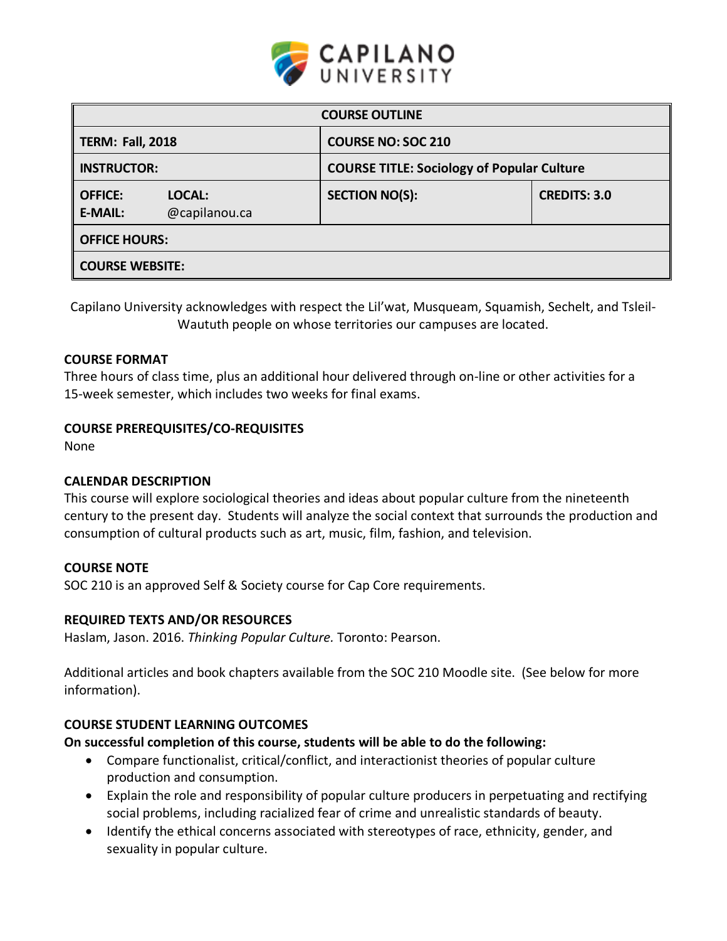

| <b>COURSE OUTLINE</b>            |                         |                                                   |                     |  |  |  |
|----------------------------------|-------------------------|---------------------------------------------------|---------------------|--|--|--|
| <b>TERM: Fall, 2018</b>          |                         | <b>COURSE NO: SOC 210</b>                         |                     |  |  |  |
| <b>INSTRUCTOR:</b>               |                         | <b>COURSE TITLE: Sociology of Popular Culture</b> |                     |  |  |  |
| <b>OFFICE:</b><br><b>E-MAIL:</b> | LOCAL:<br>@capilanou.ca | <b>SECTION NO(S):</b>                             | <b>CREDITS: 3.0</b> |  |  |  |
| <b>OFFICE HOURS:</b>             |                         |                                                   |                     |  |  |  |
| <b>COURSE WEBSITE:</b>           |                         |                                                   |                     |  |  |  |

Capilano University acknowledges with respect the Lil'wat, Musqueam, Squamish, Sechelt, and Tsleil-Waututh people on whose territories our campuses are located.

## **COURSE FORMAT**

Three hours of class time, plus an additional hour delivered through on-line or other activities for a 15-week semester, which includes two weeks for final exams.

## **COURSE PREREQUISITES/CO-REQUISITES**

None

#### **CALENDAR DESCRIPTION**

This course will explore sociological theories and ideas about popular culture from the nineteenth century to the present day. Students will analyze the social context that surrounds the production and consumption of cultural products such as art, music, film, fashion, and television.

#### **COURSE NOTE**

SOC 210 is an approved Self & Society course for Cap Core requirements.

#### **REQUIRED TEXTS AND/OR RESOURCES**

Haslam, Jason. 2016. *Thinking Popular Culture.* Toronto: Pearson.

Additional articles and book chapters available from the SOC 210 Moodle site. (See below for more information).

## **COURSE STUDENT LEARNING OUTCOMES**

## **On successful completion of this course, students will be able to do the following:**

- Compare functionalist, critical/conflict, and interactionist theories of popular culture production and consumption.
- Explain the role and responsibility of popular culture producers in perpetuating and rectifying social problems, including racialized fear of crime and unrealistic standards of beauty.
- Identify the ethical concerns associated with stereotypes of race, ethnicity, gender, and sexuality in popular culture.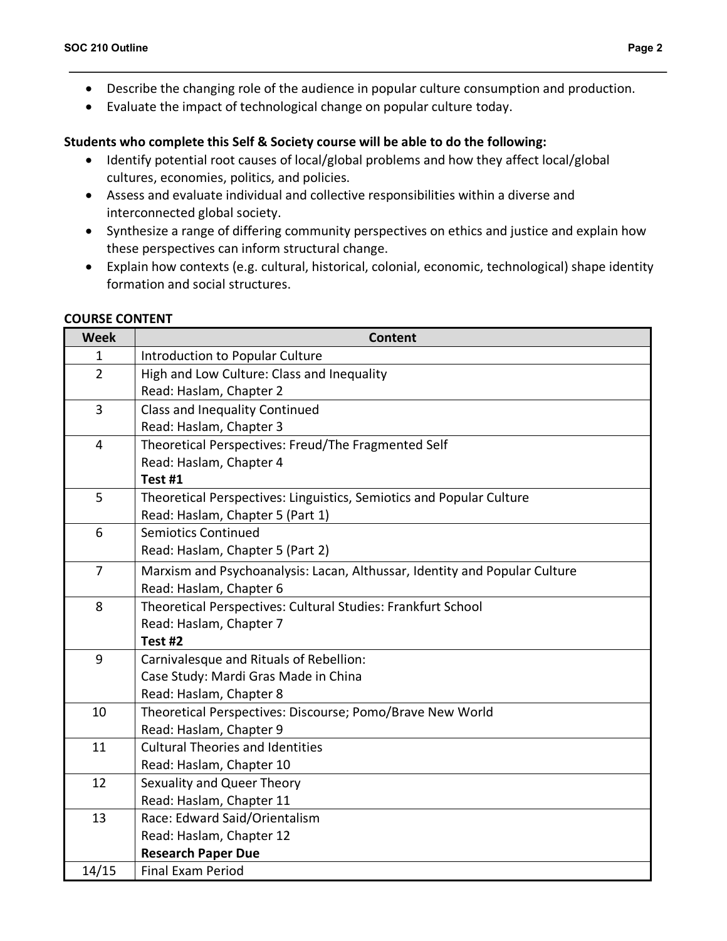- Describe the changing role of the audience in popular culture consumption and production.
- Evaluate the impact of technological change on popular culture today.

# **Students who complete this Self & Society course will be able to do the following:**

- Identify potential root causes of local/global problems and how they affect local/global cultures, economies, politics, and policies.
- Assess and evaluate individual and collective responsibilities within a diverse and interconnected global society.
- Synthesize a range of differing community perspectives on ethics and justice and explain how these perspectives can inform structural change.
- Explain how contexts (e.g. cultural, historical, colonial, economic, technological) shape identity formation and social structures.

## **COURSE CONTENT**

| <b>Week</b>    | <b>Content</b>                                                             |  |  |  |  |  |
|----------------|----------------------------------------------------------------------------|--|--|--|--|--|
| 1              | Introduction to Popular Culture                                            |  |  |  |  |  |
| $\overline{2}$ | High and Low Culture: Class and Inequality                                 |  |  |  |  |  |
|                | Read: Haslam, Chapter 2                                                    |  |  |  |  |  |
| $\overline{3}$ | <b>Class and Inequality Continued</b>                                      |  |  |  |  |  |
|                | Read: Haslam, Chapter 3                                                    |  |  |  |  |  |
| 4              | Theoretical Perspectives: Freud/The Fragmented Self                        |  |  |  |  |  |
|                | Read: Haslam, Chapter 4                                                    |  |  |  |  |  |
|                | Test #1                                                                    |  |  |  |  |  |
| 5              | Theoretical Perspectives: Linguistics, Semiotics and Popular Culture       |  |  |  |  |  |
|                | Read: Haslam, Chapter 5 (Part 1)                                           |  |  |  |  |  |
| 6              | <b>Semiotics Continued</b>                                                 |  |  |  |  |  |
|                | Read: Haslam, Chapter 5 (Part 2)                                           |  |  |  |  |  |
| $\overline{7}$ | Marxism and Psychoanalysis: Lacan, Althussar, Identity and Popular Culture |  |  |  |  |  |
|                | Read: Haslam, Chapter 6                                                    |  |  |  |  |  |
| 8              | Theoretical Perspectives: Cultural Studies: Frankfurt School               |  |  |  |  |  |
|                | Read: Haslam, Chapter 7                                                    |  |  |  |  |  |
|                | Test #2                                                                    |  |  |  |  |  |
| 9              | Carnivalesque and Rituals of Rebellion:                                    |  |  |  |  |  |
|                | Case Study: Mardi Gras Made in China                                       |  |  |  |  |  |
|                | Read: Haslam, Chapter 8                                                    |  |  |  |  |  |
| 10             | Theoretical Perspectives: Discourse; Pomo/Brave New World                  |  |  |  |  |  |
|                | Read: Haslam, Chapter 9                                                    |  |  |  |  |  |
| 11             | <b>Cultural Theories and Identities</b>                                    |  |  |  |  |  |
|                | Read: Haslam, Chapter 10                                                   |  |  |  |  |  |
| 12             | Sexuality and Queer Theory                                                 |  |  |  |  |  |
|                | Read: Haslam, Chapter 11                                                   |  |  |  |  |  |
| 13             | Race: Edward Said/Orientalism                                              |  |  |  |  |  |
|                | Read: Haslam, Chapter 12                                                   |  |  |  |  |  |
|                | <b>Research Paper Due</b>                                                  |  |  |  |  |  |
| 14/15          | <b>Final Exam Period</b>                                                   |  |  |  |  |  |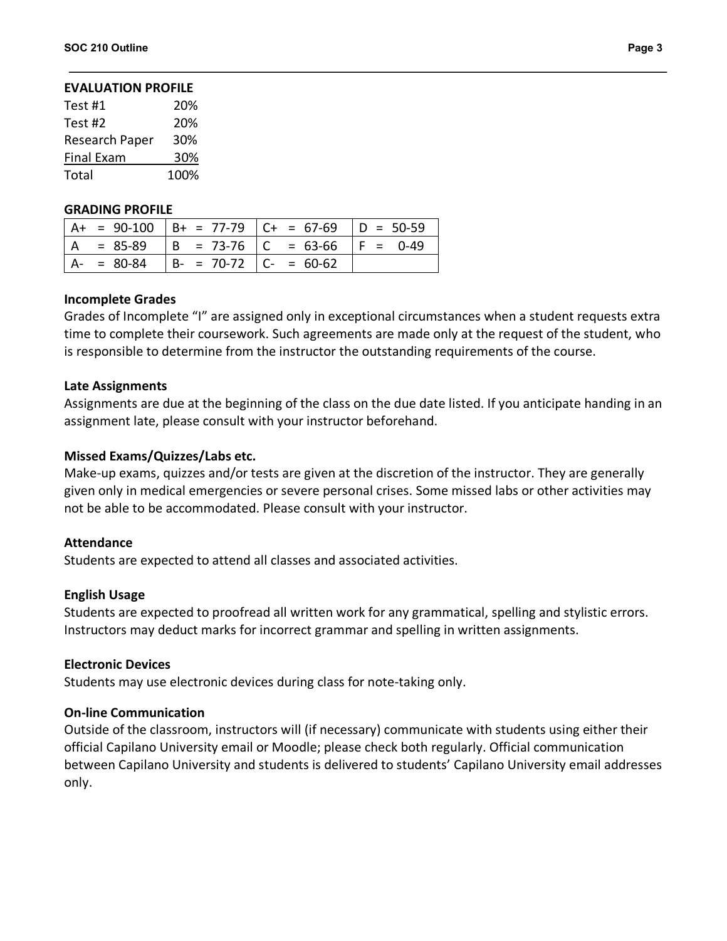## **EVALUATION PROFILE**

| Test #1           | 20%  |
|-------------------|------|
| Test #2           | 20%  |
| Research Paper    | 30%  |
| <b>Final Exam</b> | 30%  |
| Total             | 100% |

#### **GRADING PROFILE**

|  |                                           | $ $ A+ = 90-100 $ $ B+ = 77-79 $ $ C+ = 67-69 $ $ D = 50-59 |  |
|--|-------------------------------------------|-------------------------------------------------------------|--|
|  |                                           | $ A = 85-89$ $ B = 73-76$ $ C = 63-66$ $ F = 0-49$          |  |
|  | $ A- = 80-84$ $ B- = 70-72$ $ C- = 60-62$ |                                                             |  |

#### **Incomplete Grades**

Grades of Incomplete "I" are assigned only in exceptional circumstances when a student requests extra time to complete their coursework. Such agreements are made only at the request of the student, who is responsible to determine from the instructor the outstanding requirements of the course.

## **Late Assignments**

Assignments are due at the beginning of the class on the due date listed. If you anticipate handing in an assignment late, please consult with your instructor beforehand.

## **Missed Exams/Quizzes/Labs etc.**

Make-up exams, quizzes and/or tests are given at the discretion of the instructor. They are generally given only in medical emergencies or severe personal crises. Some missed labs or other activities may not be able to be accommodated. Please consult with your instructor.

#### **Attendance**

Students are expected to attend all classes and associated activities.

#### **English Usage**

Students are expected to proofread all written work for any grammatical, spelling and stylistic errors. Instructors may deduct marks for incorrect grammar and spelling in written assignments.

#### **Electronic Devices**

Students may use electronic devices during class for note-taking only.

## **On-line Communication**

Outside of the classroom, instructors will (if necessary) communicate with students using either their official Capilano University email or Moodle; please check both regularly. Official communication between Capilano University and students is delivered to students' Capilano University email addresses only.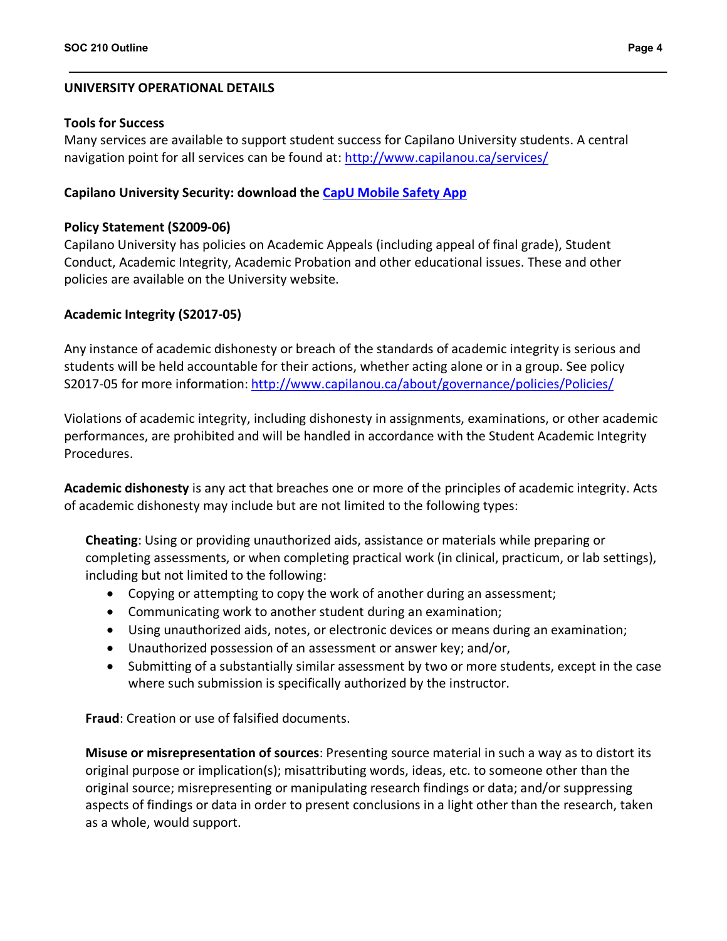## **UNIVERSITY OPERATIONAL DETAILS**

## **Tools for Success**

Many services are available to support student success for Capilano University students. A central navigation point for all services can be found at: http://www.capilanou.ca/services/

## **Capilano University Security: download the CapU Mobile Safety App**

## **Policy Statement (S2009-06)**

Capilano University has policies on Academic Appeals (including appeal of final grade), Student Conduct, Academic Integrity, Academic Probation and other educational issues. These and other policies are available on the University website.

## **Academic Integrity (S2017-05)**

Any instance of academic dishonesty or breach of the standards of academic integrity is serious and students will be held accountable for their actions, whether acting alone or in a group. See policy S2017-05 for more information: http://www.capilanou.ca/about/governance/policies/Policies/

Violations of academic integrity, including dishonesty in assignments, examinations, or other academic performances, are prohibited and will be handled in accordance with the Student Academic Integrity Procedures.

**Academic dishonesty** is any act that breaches one or more of the principles of academic integrity. Acts of academic dishonesty may include but are not limited to the following types:

**Cheating**: Using or providing unauthorized aids, assistance or materials while preparing or completing assessments, or when completing practical work (in clinical, practicum, or lab settings), including but not limited to the following:

- Copying or attempting to copy the work of another during an assessment;
- Communicating work to another student during an examination;
- Using unauthorized aids, notes, or electronic devices or means during an examination;
- Unauthorized possession of an assessment or answer key; and/or,
- Submitting of a substantially similar assessment by two or more students, except in the case where such submission is specifically authorized by the instructor.

**Fraud**: Creation or use of falsified documents.

**Misuse or misrepresentation of sources**: Presenting source material in such a way as to distort its original purpose or implication(s); misattributing words, ideas, etc. to someone other than the original source; misrepresenting or manipulating research findings or data; and/or suppressing aspects of findings or data in order to present conclusions in a light other than the research, taken as a whole, would support.